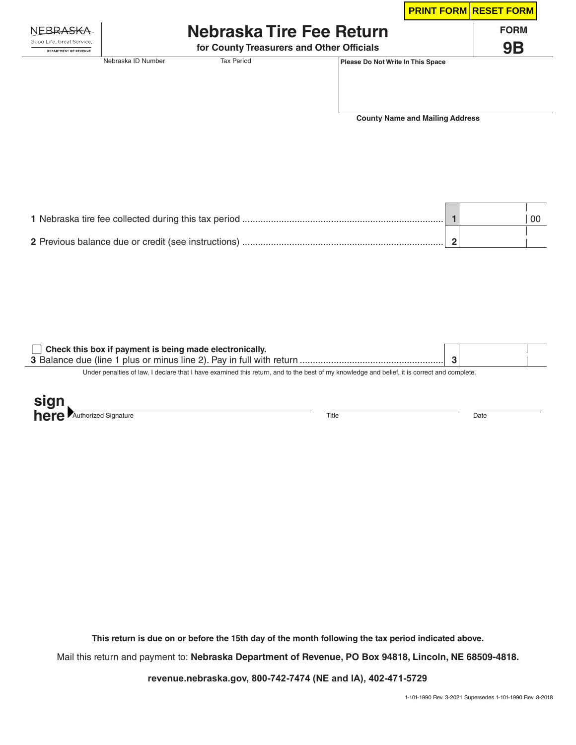|                                                           |                                           |                          |                                   | <b>PRINT FORM RESET FORM</b> |
|-----------------------------------------------------------|-------------------------------------------|--------------------------|-----------------------------------|------------------------------|
| NEBRA <del>SKA</del>                                      |                                           | Nebraska Tire Fee Return |                                   | <b>FORM</b>                  |
| Good Life, Great Service,<br><b>DEPARTMENT OF REVENUE</b> | for County Treasurers and Other Officials |                          |                                   | 9Β                           |
|                                                           | Nebraska ID Number                        | <b>Tax Period</b>        | Please Do Not Write In This Space |                              |

**County Name and Mailing Address**

|  | $_{00}$ |
|--|---------|
|  |         |

| Check this box if payment is being made electronically.                                                                                     |  |  |
|---------------------------------------------------------------------------------------------------------------------------------------------|--|--|
|                                                                                                                                             |  |  |
| Under penalties of law, I declare that I have examined this return, and to the best of my knowledge and belief, it is correct and complete. |  |  |

| <b>Sinn</b><br>œ |            |       |      |
|------------------|------------|-------|------|
| here'            | Authorized | Title | Date |

**This return is due on or before the 15th day of the month following the tax period indicated above.**

Mail this return and payment to: **Nebraska Department of Revenue, PO Box 94818, Lincoln, NE 68509-4818.**

**revenue.nebraska.gov, 800-742-7474 (NE and IA), 402-471-5729**